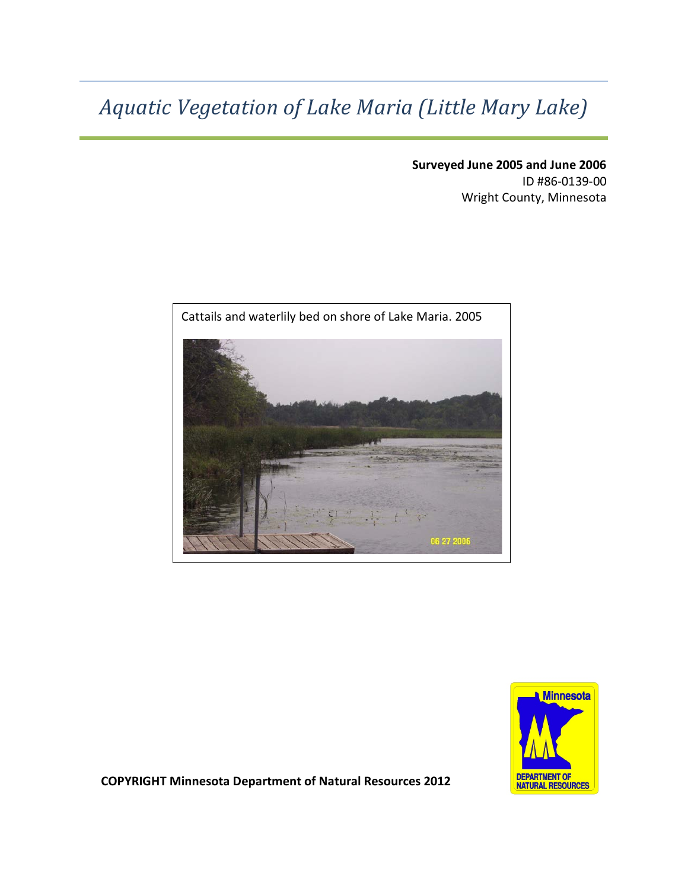# *Aquatic Vegetation of Lake Maria (Little Mary Lake)*

**Surveyed June 2005 and June 2006** ID #86-0139-00 Wright County, Minnesota





**COPYRIGHT Minnesota Department of Natural Resources 2012**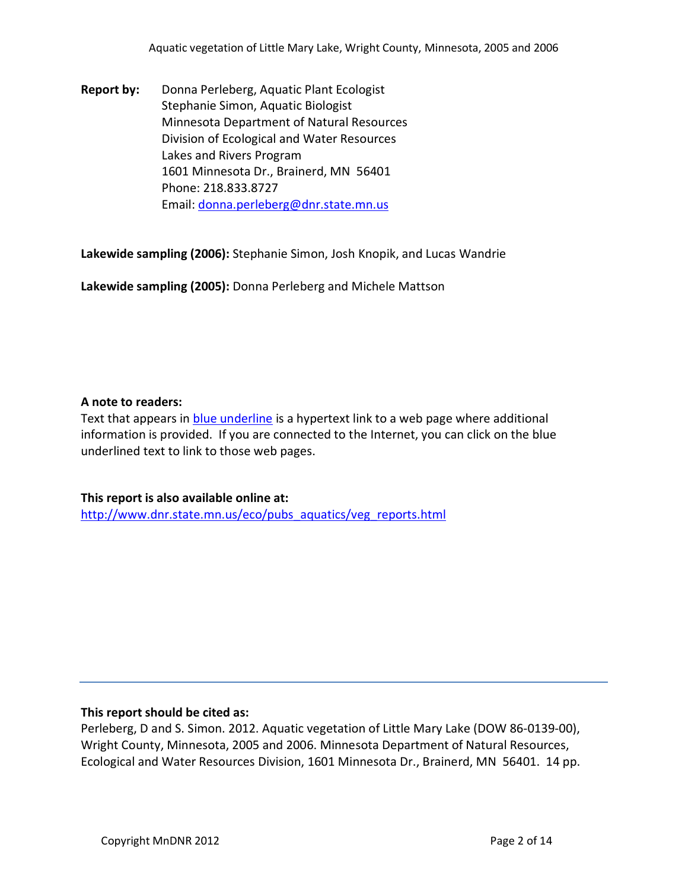**Report by:** Donna Perleberg, Aquatic Plant Ecologist Stephanie Simon, Aquatic Biologist Minnesota Department of Natural Resources Division of Ecological and Water Resources Lakes and Rivers Program 1601 Minnesota Dr., Brainerd, MN 56401 Phone: 218.833.8727 Email: [donna.perleberg@dnr.state.mn.us](mailto:donna.perleberg@dnr.state.mn.us)

**Lakewide sampling (2006):** Stephanie Simon, Josh Knopik, and Lucas Wandrie

**Lakewide sampling (2005):** Donna Perleberg and Michele Mattson

#### **A note to readers:**

Text that appears in blue underline is a hypertext link to a web page where additional information is provided. If you are connected to the Internet, you can click on the blue underlined text to link to those web pages.

**This report is also available online at:**  [http://www.dnr.state.mn.us/eco/pubs\\_aquatics/veg\\_reports.html](http://www.dnr.state.mn.us/eco/pubs_aquatics/veg_reports.html)

#### **This report should be cited as:**

Perleberg, D and S. Simon. 2012. Aquatic vegetation of Little Mary Lake (DOW 86-0139-00), Wright County, Minnesota, 2005 and 2006. Minnesota Department of Natural Resources, Ecological and Water Resources Division, 1601 Minnesota Dr., Brainerd, MN 56401. 14 pp.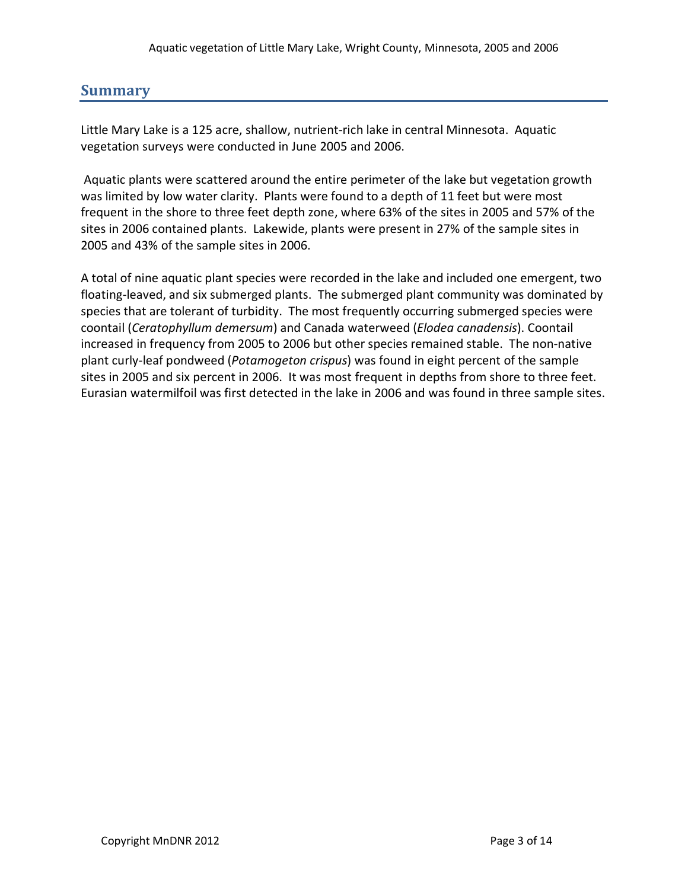# **Summary**

Little Mary Lake is a 125 acre, shallow, nutrient-rich lake in central Minnesota. Aquatic vegetation surveys were conducted in June 2005 and 2006.

Aquatic plants were scattered around the entire perimeter of the lake but vegetation growth was limited by low water clarity. Plants were found to a depth of 11 feet but were most frequent in the shore to three feet depth zone, where 63% of the sites in 2005 and 57% of the sites in 2006 contained plants. Lakewide, plants were present in 27% of the sample sites in 2005 and 43% of the sample sites in 2006.

A total of nine aquatic plant species were recorded in the lake and included one emergent, two floating-leaved, and six submerged plants. The submerged plant community was dominated by species that are tolerant of turbidity. The most frequently occurring submerged species were coontail (*Ceratophyllum demersum*) and Canada waterweed (*Elodea canadensis*). Coontail increased in frequency from 2005 to 2006 but other species remained stable. The non-native plant curly-leaf pondweed (*Potamogeton crispus*) was found in eight percent of the sample sites in 2005 and six percent in 2006. It was most frequent in depths from shore to three feet. Eurasian watermilfoil was first detected in the lake in 2006 and was found in three sample sites.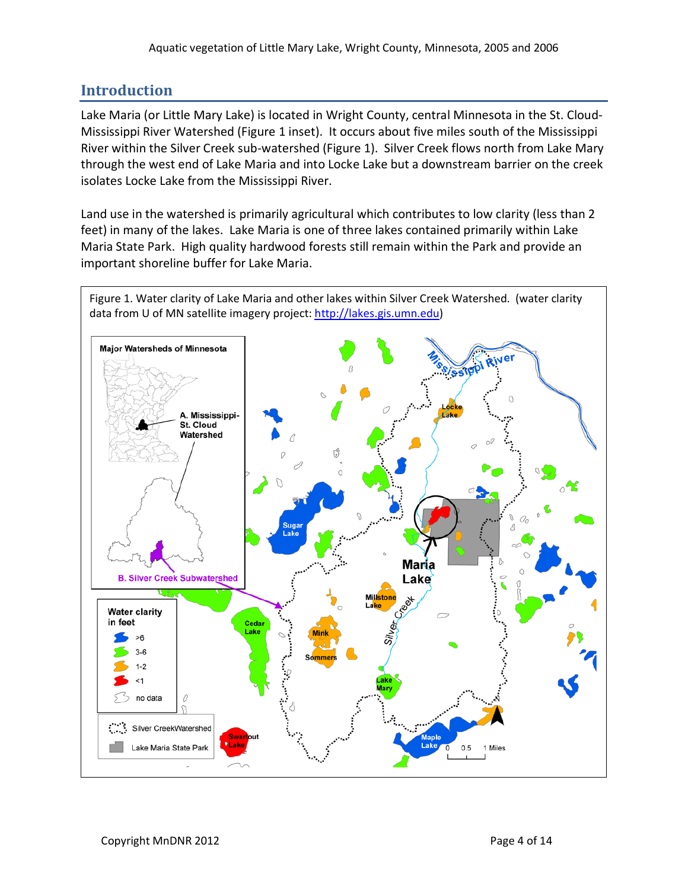# **Introduction**

Lake Maria (or Little Mary Lake) is located in Wright County, central Minnesota in the St. Cloud-Mississippi River Watershed (Figure 1 inset). It occurs about five miles south of the Mississippi River within the Silver Creek sub-watershed (Figure 1). Silver Creek flows north from Lake Mary through the west end of Lake Maria and into Locke Lake but a downstream barrier on the creek isolates Locke Lake from the Mississippi River.

Land use in the watershed is primarily agricultural which contributes to low clarity (less than 2 feet) in many of the lakes. Lake Maria is one of three lakes contained primarily within Lake Maria State Park. High quality hardwood forests still remain within the Park and provide an important shoreline buffer for Lake Maria.

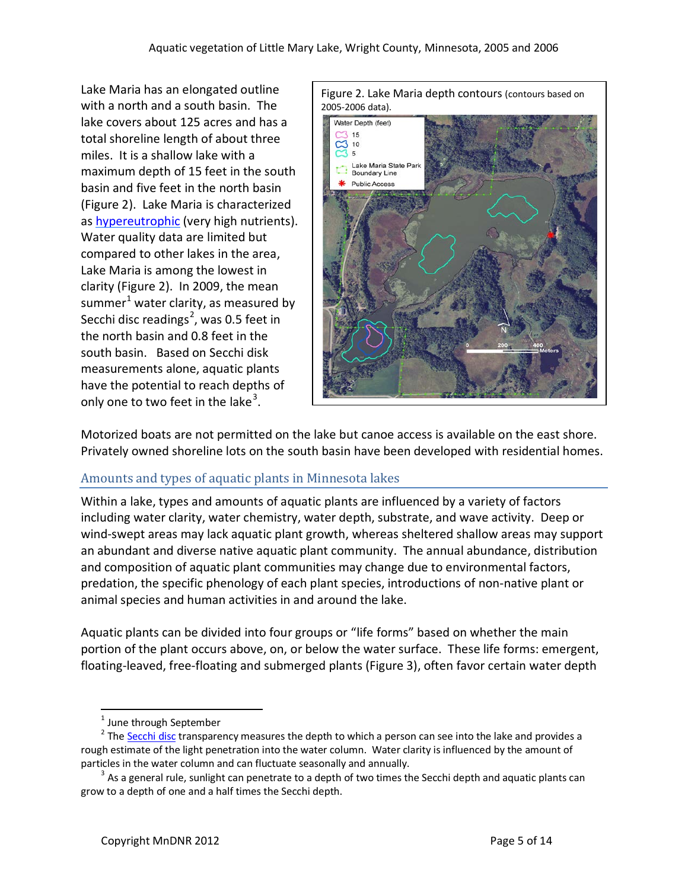Lake Maria has an elongated outline with a north and a south basin. The lake covers about 125 acres and has a total shoreline length of about three miles. It is a shallow lake with a maximum depth of 15 feet in the south basin and five feet in the north basin (Figure 2). Lake Maria is characterized as [hypereutrophic](http://www.pca.state.mn.us/index.php/water/water-types-and-programs/surface-water/lakes/citizen-lake-monitoring-program/secchi-transparency-slideshow/mesotrophic-lake-secchi-transparency-slideshow.html?menuid=&redirect=1) (very high nutrients). Water quality data are limited but compared to other lakes in the area, Lake Maria is among the lowest in clarity (Figure 2). In 2009, the mean summer<sup>[1](#page-4-0)</sup> water clarity, as measured by Secchi disc readings<sup>[2](#page-4-1)</sup>, was 0.5 feet in the north basin and 0.8 feet in the south basin. Based on Secchi disk measurements alone, aquatic plants have the potential to reach depths of only one to two feet in the lake<sup>[3](#page-4-2)</sup>.



Motorized boats are not permitted on the lake but canoe access is available on the east shore. Privately owned shoreline lots on the south basin have been developed with residential homes.

#### Amounts and types of aquatic plants in Minnesota lakes

Within a lake, types and amounts of aquatic plants are influenced by a variety of factors including water clarity, water chemistry, water depth, substrate, and wave activity. Deep or wind-swept areas may lack aquatic plant growth, whereas sheltered shallow areas may support an abundant and diverse native aquatic plant community. The annual abundance, distribution and composition of aquatic plant communities may change due to environmental factors, predation, the specific phenology of each plant species, introductions of non-native plant or animal species and human activities in and around the lake.

Aquatic plants can be divided into four groups or "life forms" based on whether the main portion of the plant occurs above, on, or below the water surface. These life forms: emergent, floating-leaved, free-floating and submerged plants (Figure 3), often favor certain water depth

 $<sup>1</sup>$  June through September</sup>

<span id="page-4-1"></span><span id="page-4-0"></span><sup>&</sup>lt;sup>2</sup> The [Secchi disc](http://www.pca.state.mn.us/water/secchi-slideshow.html) transparency measures the depth to which a person can see into the lake and provides a rough estimate of the light penetration into the water column. Water clarity is influenced by the amount of particles in the water column and can fluctuate seasonally and annually.

<span id="page-4-2"></span> $3$  As a general rule, sunlight can penetrate to a depth of two times the Secchi depth and aquatic plants can grow to a depth of one and a half times the Secchi depth.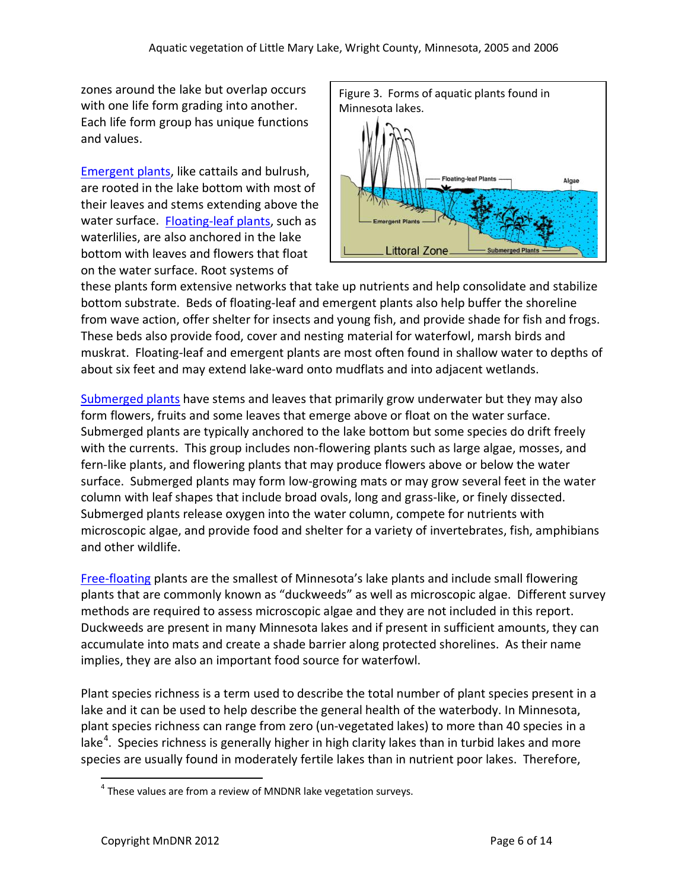zones around the lake but overlap occurs with one life form grading into another. Each life form group has unique functions and values.

[Emergent plants,](http://www.dnr.state.mn.us/aquatic_plants/emergent_plants/index.html) like cattails and bulrush, are rooted in the lake bottom with most of their leaves and stems extending above the water surface. [Floating-leaf plants,](http://www.dnr.state.mn.us/aquatic_plants/floatingleaf_plants/index.html) such as waterlilies, are also anchored in the lake bottom with leaves and flowers that float on the water surface. Root systems of



these plants form extensive networks that take up nutrients and help consolidate and stabilize bottom substrate. Beds of floating-leaf and emergent plants also help buffer the shoreline from wave action, offer shelter for insects and young fish, and provide shade for fish and frogs. These beds also provide food, cover and nesting material for waterfowl, marsh birds and muskrat. Floating-leaf and emergent plants are most often found in shallow water to depths of about six feet and may extend lake-ward onto mudflats and into adjacent wetlands.

[Submerged plants](http://www.dnr.state.mn.us/aquatic_plants/submerged_plants/index.html) have stems and leaves that primarily grow underwater but they may also form flowers, fruits and some leaves that emerge above or float on the water surface. Submerged plants are typically anchored to the lake bottom but some species do drift freely with the currents. This group includes non-flowering plants such as large algae, mosses, and fern-like plants, and flowering plants that may produce flowers above or below the water surface. Submerged plants may form low-growing mats or may grow several feet in the water column with leaf shapes that include broad ovals, long and grass-like, or finely dissected. Submerged plants release oxygen into the water column, compete for nutrients with microscopic algae, and provide food and shelter for a variety of invertebrates, fish, amphibians and other wildlife.

[Free-floating](http://www.dnr.state.mn.us/aquatic_plants/floatingleaf_plants/duckweeds.html) plants are the smallest of Minnesota's lake plants and include small flowering plants that are commonly known as "duckweeds" as well as microscopic algae. Different survey methods are required to assess microscopic algae and they are not included in this report. Duckweeds are present in many Minnesota lakes and if present in sufficient amounts, they can accumulate into mats and create a shade barrier along protected shorelines. As their name implies, they are also an important food source for waterfowl.

Plant species richness is a term used to describe the total number of plant species present in a lake and it can be used to help describe the general health of the waterbody. In Minnesota, plant species richness can range from zero (un-vegetated lakes) to more than 40 species in a lake<sup>[4](#page-5-0)</sup>. Species richness is generally higher in high clarity lakes than in turbid lakes and more species are usually found in moderately fertile lakes than in nutrient poor lakes. Therefore,

<span id="page-5-0"></span> $4$  These values are from a review of MNDNR lake vegetation surveys.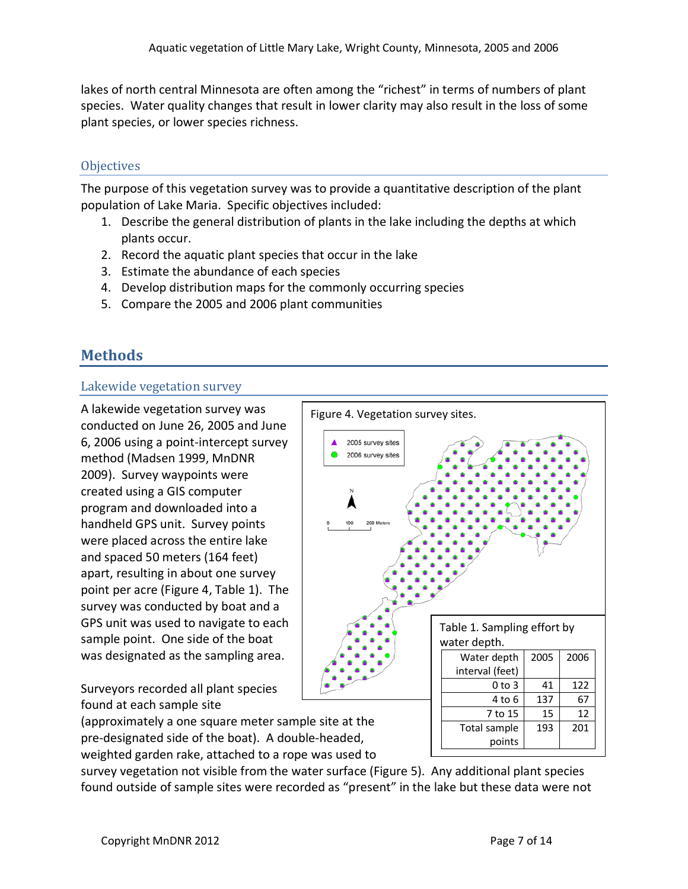lakes of north central Minnesota are often among the "richest" in terms of numbers of plant species. Water quality changes that result in lower clarity may also result in the loss of some plant species, or lower species richness.

#### **Objectives**

The purpose of this vegetation survey was to provide a quantitative description of the plant population of Lake Maria. Specific objectives included:

- 1. Describe the general distribution of plants in the lake including the depths at which plants occur.
- 2. Record the aquatic plant species that occur in the lake
- 3. Estimate the abundance of each species
- 4. Develop distribution maps for the commonly occurring species
- 5. Compare the 2005 and 2006 plant communities

# **Methods**

#### Lakewide vegetation survey

A lakewide vegetation survey was conducted on June 26, 2005 and June 6, 2006 using a point-intercept survey method (Madsen 1999, MnDNR 2009). Survey waypoints were created using a GIS computer program and downloaded into a handheld GPS unit. Survey points were placed across the entire lake and spaced 50 meters (164 feet) apart, resulting in about one survey point per acre (Figure 4, Table 1). The survey was conducted by boat and a GPS unit was used to navigate to each sample point. One side of the boat was designated as the sampling area.

Surveyors recorded all plant species found at each sample site

(approximately a one square meter sample site at the pre-designated side of the boat). A double-headed, weighted garden rake, attached to a rope was used to

survey vegetation not visible from the water surface (Figure 5). Any additional plant species found outside of sample sites were recorded as "present" in the lake but these data were not

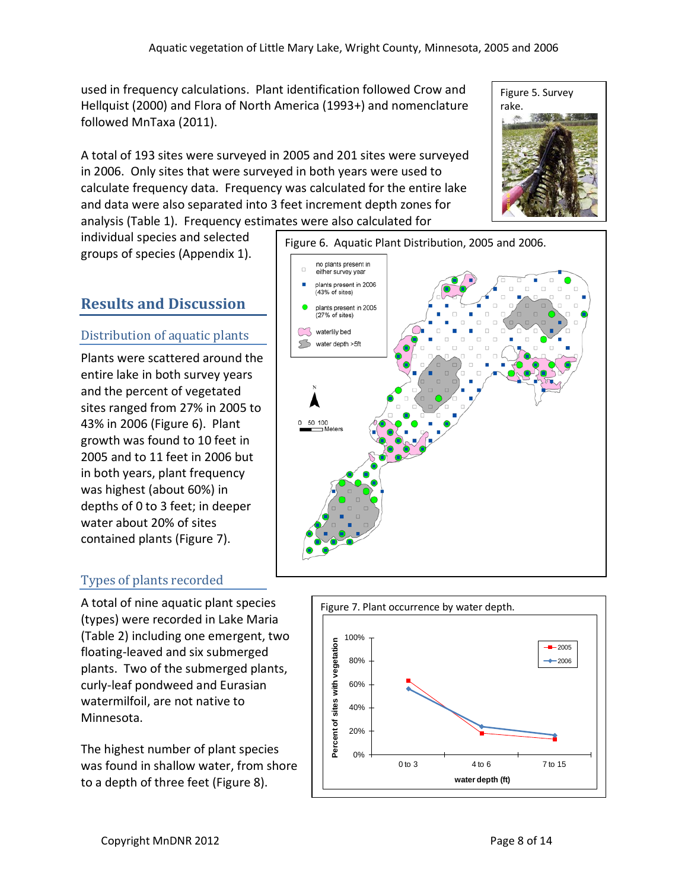no plants present in either survey year

used in frequency calculations. Plant identification followed Crow and Hellquist (2000) and Flora of North America (1993+) and nomenclature followed MnTaxa (2011).

A total of 193 sites were surveyed in 2005 and 201 sites were surveyed in 2006. Only sites that were surveyed in both years were used to calculate frequency data. Frequency was calculated for the entire lake and data were also separated into 3 feet increment depth zones for analysis (Table 1). Frequency estimates were also calculated for

individual species and selected groups of species (Appendix 1).

# **Results and Discussion**

#### Distribution of aquatic plants

Plants were scattered around the entire lake in both survey years and the percent of vegetated sites ranged from 27% in 2005 to 43% in 2006 (Figure 6). Plant growth was found to 10 feet in 2005 and to 11 feet in 2006 but in both years, plant frequency was highest (about 60%) in depths of 0 to 3 feet; in deeper water about 20% of sites contained plants (Figure 7).

## Types of plants recorded

A total of nine aquatic plant species (types) were recorded in Lake Maria (Table 2) including one emergent, two floating-leaved and six submerged plants. Two of the submerged plants, curly-leaf pondweed and Eurasian watermilfoil, are not native to Minnesota.

The highest number of plant species was found in shallow water, from shore to a depth of three feet (Figure 8).



20%

40%

60%

80%

100%



Figure 7. Plant occurrence by water depth.

Figure 6. Aquatic Plant Distribution, 2005 and 2006.



2005 2006

**water depth (ft)**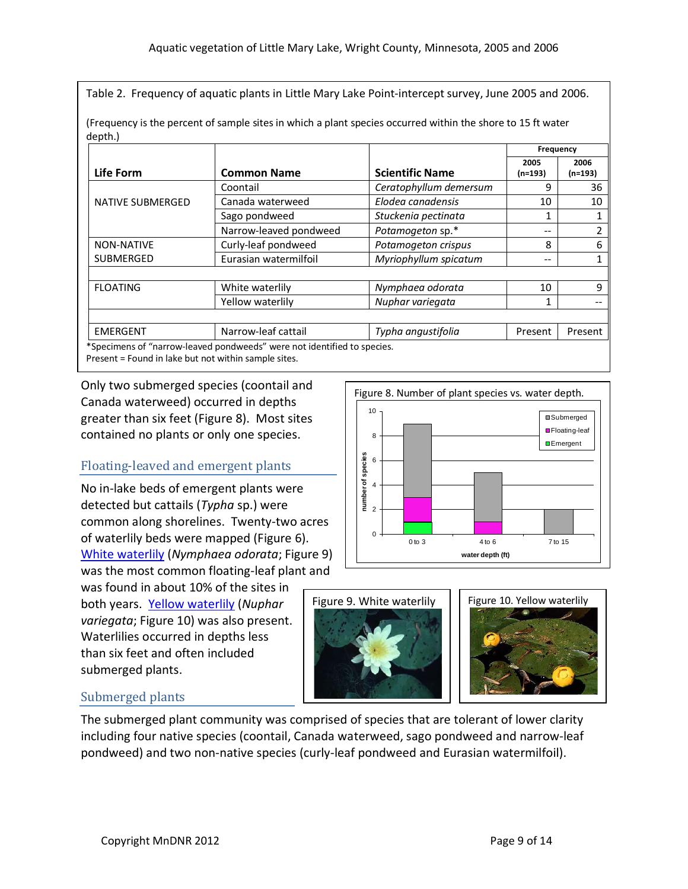Table 2. Frequency of aquatic plants in Little Mary Lake Point-intercept survey, June 2005 and 2006.

| Life Form                                            | <b>Common Name</b>                                                      | <b>Scientific Name</b> | Frequency       |                 |
|------------------------------------------------------|-------------------------------------------------------------------------|------------------------|-----------------|-----------------|
|                                                      |                                                                         |                        | 2005<br>(n=193) | 2006<br>(n=193) |
|                                                      | Coontail                                                                | Ceratophyllum demersum | 9               | 36              |
| NATIVE SUBMERGED                                     | Canada waterweed                                                        | Elodea canadensis      | 10              | 10              |
|                                                      | Sago pondweed                                                           | Stuckenia pectinata    | 1               |                 |
|                                                      | Narrow-leaved pondweed                                                  | Potamogeton sp.*       | --              | 2               |
| <b>NON-NATIVE</b>                                    | Curly-leaf pondweed                                                     | Potamogeton crispus    | 8               | 6               |
| <b>SUBMERGED</b>                                     | Eurasian watermilfoil                                                   | Myriophyllum spicatum  | --              |                 |
|                                                      |                                                                         |                        |                 |                 |
| <b>FLOATING</b>                                      | White waterlily                                                         | Nymphaea odorata       | 10              | 9               |
|                                                      | Yellow waterlily                                                        | Nuphar variegata       | 1               |                 |
|                                                      |                                                                         |                        |                 |                 |
| <b>EMERGENT</b>                                      | Narrow-leaf cattail                                                     | Typha angustifolia     | Present         | Present         |
| Present = Found in lake but not within sample sites. | *Specimens of "narrow-leaved pondweeds" were not identified to species. |                        |                 |                 |

(Frequency is the percent of sample sites in which a plant species occurred within the shore to 15 ft water depth.)

Only two submerged species (coontail and Canada waterweed) occurred in depths greater than six feet (Figure 8). Most sites contained no plants or only one species.

## Floating-leaved and emergent plants

No in-lake beds of emergent plants were detected but cattails (*Typha* sp.) were common along shorelines. Twenty-two acres of waterlily beds were mapped (Figure 6). [White waterlily](http://www.dnr.state.mn.us/aquatic_plants/floatingleaf_plants/white_water_lily.html) (*Nymphaea odorata*; Figure 9) was the most common floating-leaf plant and

was found in about 10% of the sites in both years. [Yellow waterlily](http://www.dnr.state.mn.us/aquatic_plants/floatingleaf_plants/spatterdock.html) (*Nuphar variegata*; Figure 10) was also present. Waterlilies occurred in depths less than six feet and often included submerged plants.

#### Figure 8. Number of plant species vs. water depth. 10 Submerged ■Floating-leaf 8 **D**Emergent number of species **number of species** 6 4 2 0 0 to 3 4 to 6 7 to 15 **water depth (ft)**

Figure 9. White waterlily





## Submerged plants

The submerged plant community was comprised of species that are tolerant of lower clarity including four native species (coontail, Canada waterweed, sago pondweed and narrow-leaf pondweed) and two non-native species (curly-leaf pondweed and Eurasian watermilfoil).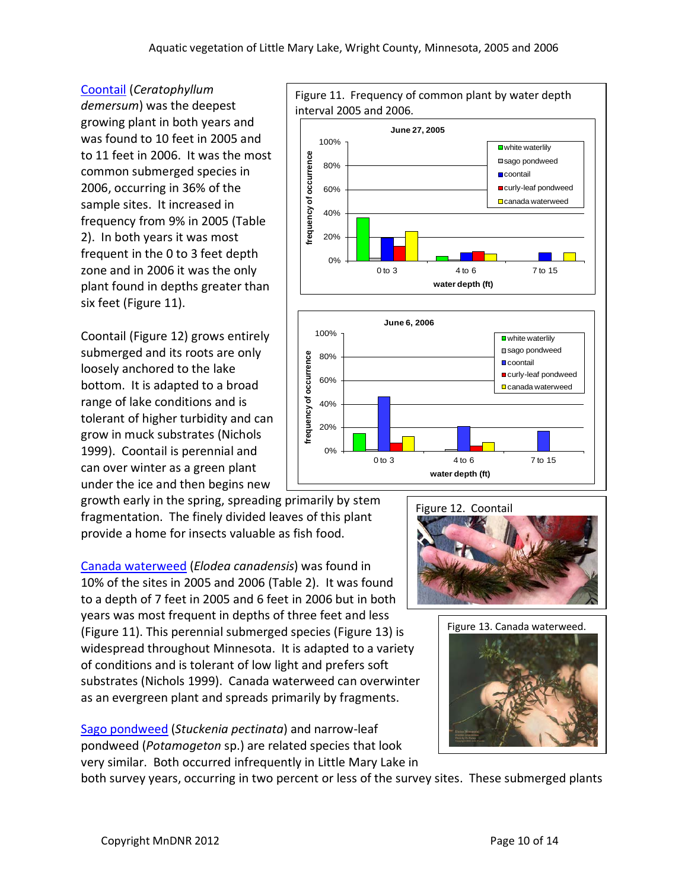interval 2005 and 2006.

#### [Coontail](http://www.dnr.state.mn.us/aquatic_plants/submerged_plants/coontail.html) (*Ceratophyllum*

*demersum*) was the deepest growing plant in both years and was found to 10 feet in 2005 and to 11 feet in 2006. It was the most common submerged species in 2006, occurring in 36% of the sample sites. It increased in frequency from 9% in 2005 (Table 2). In both years it was most frequent in the 0 to 3 feet depth zone and in 2006 it was the only plant found in depths greater than six feet (Figure 11).

Coontail (Figure 12) grows entirely submerged and its roots are only loosely anchored to the lake bottom. It is adapted to a broad range of lake conditions and is tolerant of higher turbidity and can grow in muck substrates (Nichols 1999). Coontail is perennial and can over winter as a green plant under the ice and then begins new

growth early in the spring, spreading primarily by stem fragmentation. The finely divided leaves of this plant provide a home for insects valuable as fish food.

[Canada waterweed](http://www.dnr.state.mn.us/aquatic_plants/submerged_plants/canada_waterweed.html) (*Elodea canadensis*) was found in 10% of the sites in 2005 and 2006 (Table 2). It was found to a depth of 7 feet in 2005 and 6 feet in 2006 but in both years was most frequent in depths of three feet and less (Figure 11). This perennial submerged species (Figure 13) is widespread throughout Minnesota. It is adapted to a variety of conditions and is tolerant of low light and prefers soft substrates (Nichols 1999). Canada waterweed can overwinter as an evergreen plant and spreads primarily by fragments.

[Sago pondweed](http://www.dnr.state.mn.us/aquatic_plants/submerged_plants/index.html) (*Stuckenia pectinata*) and narrow-leaf pondweed (*Potamogeton* sp.) are related species that look very similar. Both occurred infrequently in Little Mary Lake in

both survey years, occurring in two percent or less of the survey sites. These submerged plants

**June 27, 2005** 100% **■**white waterlily **frequency of occurrence** requency of occurrence ■sago pondweed 80% **D**coontail 60% curly-leaf pondweed □ canada waterweed 40% 20% 0% 0 to 3 4 to 6 7 to 15 **water depth (ft)**

Figure 11. Frequency of common plant by water depth





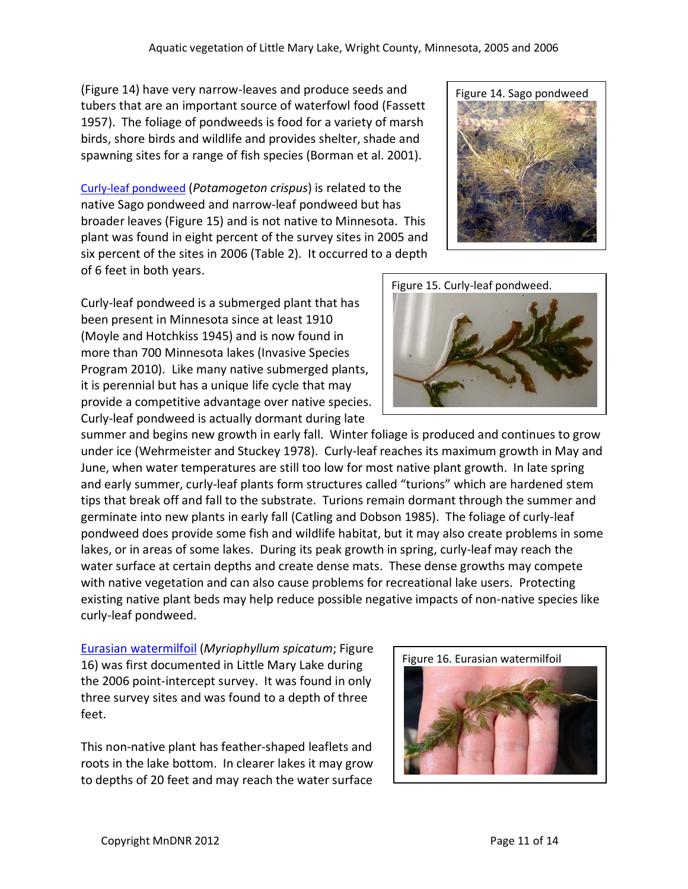(Figure 14) have very narrow-leaves and produce seeds and tubers that are an important source of waterfowl food (Fassett 1957). The foliage of pondweeds is food for a variety of marsh birds, shore birds and wildlife and provides shelter, shade and spawning sites for a range of fish species (Borman et al. 2001).

[Curly-leaf pondweed](http://www.dnr.state.mn.us/aquatic_plants/submerged_plants/curlyleaf_pondweed.html) (*Potamogeton crispus*) is related to the native Sago pondweed and narrow-leaf pondweed but has broader leaves (Figure 15) and is not native to Minnesota. This plant was found in eight percent of the survey sites in 2005 and six percent of the sites in 2006 (Table 2). It occurred to a depth of 6 feet in both years.

Curly-leaf pondweed is a submerged plant that has been present in Minnesota since at least 1910 (Moyle and Hotchkiss 1945) and is now found in more than 700 Minnesota lakes (Invasive Species Program 2010). Like many native submerged plants, it is perennial but has a unique life cycle that may provide a competitive advantage over native species. Curly-leaf pondweed is actually dormant during late

summer and begins new growth in early fall. Winter foliage is produced and continues to grow under ice (Wehrmeister and Stuckey 1978). Curly-leaf reaches its maximum growth in May and June, when water temperatures are still too low for most native plant growth. In late spring and early summer, curly-leaf plants form structures called "turions" which are hardened stem tips that break off and fall to the substrate. Turions remain dormant through the summer and germinate into new plants in early fall (Catling and Dobson 1985). The foliage of curly-leaf pondweed does provide some fish and wildlife habitat, but it may also create problems in some lakes, or in areas of some lakes. During its peak growth in spring, curly-leaf may reach the water surface at certain depths and create dense mats. These dense growths may compete with native vegetation and can also cause problems for recreational lake users. Protecting existing native plant beds may help reduce possible negative impacts of non-native species like curly-leaf pondweed.

[Eurasian watermilfoil](http://www.dnr.state.mn.us/invasives/aquaticplants/milfoil/index.html) (*Myriophyllum spicatum*; Figure 16) was first documented in Little Mary Lake during the 2006 point-intercept survey. It was found in only three survey sites and was found to a depth of three feet.

This non-native plant has feather-shaped leaflets and roots in the lake bottom. In clearer lakes it may grow to depths of 20 feet and may reach the water surface



Figure 16. Eurasian watermilfoil



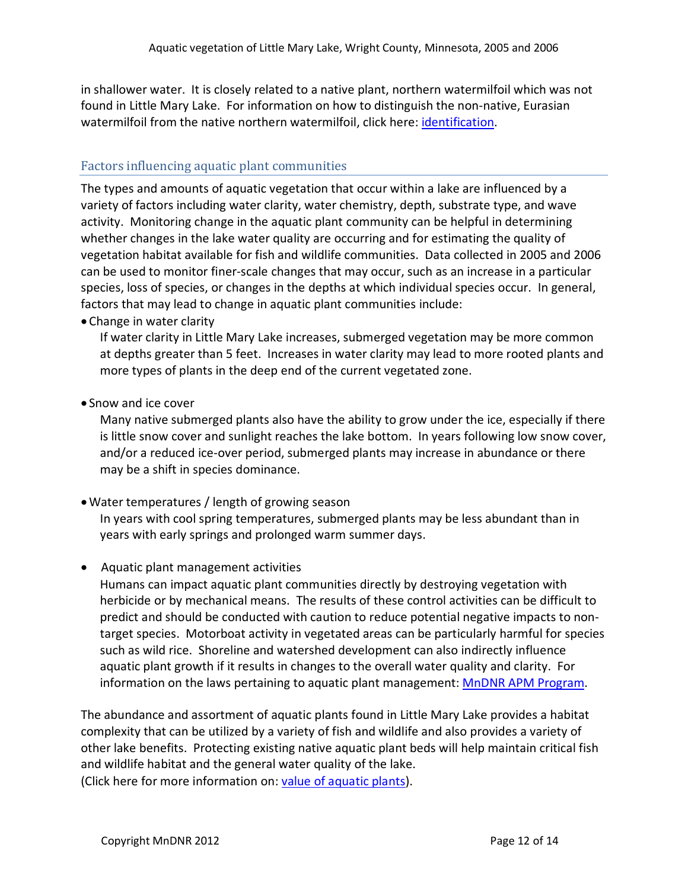in shallower water. It is closely related to a native plant, northern watermilfoil which was not found in Little Mary Lake. For information on how to distinguish the non-native, Eurasian watermilfoil from the native northern watermilfoil, click here: [identification.](http://files.dnr.state.mn.us/natural_resources/invasives/aquaticplants/milfoil/idcard.pdf)

#### Factors influencing aquatic plant communities

The types and amounts of aquatic vegetation that occur within a lake are influenced by a variety of factors including water clarity, water chemistry, depth, substrate type, and wave activity. Monitoring change in the aquatic plant community can be helpful in determining whether changes in the lake water quality are occurring and for estimating the quality of vegetation habitat available for fish and wildlife communities. Data collected in 2005 and 2006 can be used to monitor finer-scale changes that may occur, such as an increase in a particular species, loss of species, or changes in the depths at which individual species occur. In general, factors that may lead to change in aquatic plant communities include:

• Change in water clarity

If water clarity in Little Mary Lake increases, submerged vegetation may be more common at depths greater than 5 feet. Increases in water clarity may lead to more rooted plants and more types of plants in the deep end of the current vegetated zone.

• Snow and ice cover

Many native submerged plants also have the ability to grow under the ice, especially if there is little snow cover and sunlight reaches the lake bottom. In years following low snow cover, and/or a reduced ice-over period, submerged plants may increase in abundance or there may be a shift in species dominance.

•Water temperatures / length of growing season

In years with cool spring temperatures, submerged plants may be less abundant than in years with early springs and prolonged warm summer days.

• Aquatic plant management activities

Humans can impact aquatic plant communities directly by destroying vegetation with herbicide or by mechanical means. The results of these control activities can be difficult to predict and should be conducted with caution to reduce potential negative impacts to nontarget species. Motorboat activity in vegetated areas can be particularly harmful for species such as wild rice. Shoreline and watershed development can also indirectly influence aquatic plant growth if it results in changes to the overall water quality and clarity. For information on the laws pertaining to aquatic plant management[: MnDNR APM Program.](http://www.dnr.state.mn.us/ecological_services/apm/index.html)

The abundance and assortment of aquatic plants found in Little Mary Lake provides a habitat complexity that can be utilized by a variety of fish and wildlife and also provides a variety of other lake benefits. Protecting existing native aquatic plant beds will help maintain critical fish and wildlife habitat and the general water quality of the lake. (Click here for more information on: [value of aquatic plants\)](http://www.dnr.state.mn.us/shorelandmgmt/apg/value.html).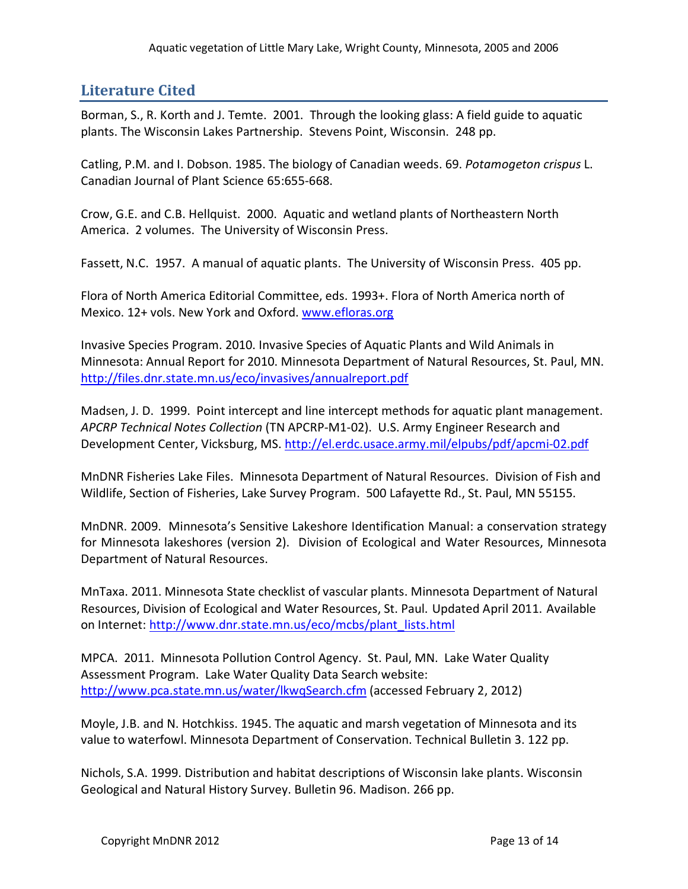# **Literature Cited**

Borman, S., R. Korth and J. Temte. 2001. Through the looking glass: A field guide to aquatic plants. The Wisconsin Lakes Partnership. Stevens Point, Wisconsin. 248 pp.

Catling, P.M. and I. Dobson. 1985. The biology of Canadian weeds. 69. *Potamogeton crispus* L. Canadian Journal of Plant Science 65:655-668.

Crow, G.E. and C.B. Hellquist. 2000. Aquatic and wetland plants of Northeastern North America. 2 volumes. The University of Wisconsin Press.

Fassett, N.C. 1957. A manual of aquatic plants. The University of Wisconsin Press. 405 pp.

Flora of North America Editorial Committee, eds. 1993+. Flora of North America north of Mexico. 12+ vols. New York and Oxford. [www.efloras.org](http://www.efloras.org/)

Invasive Species Program. 2010. Invasive Species of Aquatic Plants and Wild Animals in Minnesota: Annual Report for 2010. Minnesota Department of Natural Resources, St. Paul, MN. <http://files.dnr.state.mn.us/eco/invasives/annualreport.pdf>

Madsen, J. D. 1999. Point intercept and line intercept methods for aquatic plant management. *APCRP Technical Notes Collection* (TN APCRP-M1-02). U.S. Army Engineer Research and Development Center, Vicksburg, MS.<http://el.erdc.usace.army.mil/elpubs/pdf/apcmi-02.pdf>

MnDNR Fisheries Lake Files. Minnesota Department of Natural Resources. Division of Fish and Wildlife, Section of Fisheries, Lake Survey Program. 500 Lafayette Rd., St. Paul, MN 55155.

MnDNR. 2009. Minnesota's Sensitive Lakeshore Identification Manual: a conservation strategy for Minnesota lakeshores (version 2). Division of Ecological and Water Resources, Minnesota Department of Natural Resources.

MnTaxa. 2011. Minnesota State checklist of vascular plants. Minnesota Department of Natural Resources, Division of Ecological and Water Resources, St. Paul. Updated April 2011. Available on Internet: [http://www.dnr.state.mn.us/eco/mcbs/plant\\_lists.html](http://www.dnr.state.mn.us/eco/mcbs/plant_lists.html)

MPCA. 2011. Minnesota Pollution Control Agency. St. Paul, MN. Lake Water Quality Assessment Program. Lake Water Quality Data Search website: [http://www.pca.state.mn.us/water/lkwqSearch.cfm](http://www.pca.state.mn.us/water/clmp/clmpSearch.cfm) (accessed February 2, 2012)

Moyle, J.B. and N. Hotchkiss. 1945. The aquatic and marsh vegetation of Minnesota and its value to waterfowl. Minnesota Department of Conservation. Technical Bulletin 3. 122 pp.

Nichols, S.A. 1999. Distribution and habitat descriptions of Wisconsin lake plants. Wisconsin Geological and Natural History Survey. Bulletin 96. Madison. 266 pp.